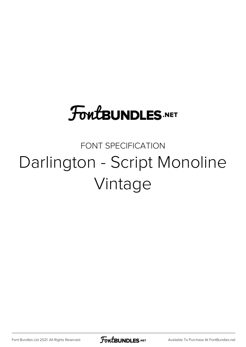## **FoutBUNDLES.NET**

## FONT SPECIFICATION Darlington - Script Monoline Vintage

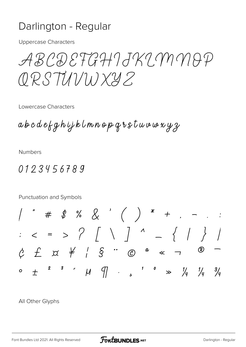## Darlington - Regular

**Uppercase Characters** 

ABCDETGHIJKIMMAP ORSTUVWXYZ

Lowercase Characters

abcdefghijklmnopgrstuvwwyz

**Numbers** 

0123456789

Punctuation and Symbols  $c$   $f$   $\alpha$   $f'$   $s$   $\cdots$   $\infty$   $\alpha$   $\alpha$   $\lnot$  $\circledR$ 2 3  $\cdot$   $\mu$   $\sqrt{7}$   $\cdot$   $\cdot$   $\cdot$   $\cdot$   $\cdot$   $\frac{1}{\sqrt{4}}$   $\frac{1}{\sqrt{4}}$   $\frac{3}{\sqrt{4}}$  $\overline{+}$  $\mathbf{o}$ 

All Other Glyphs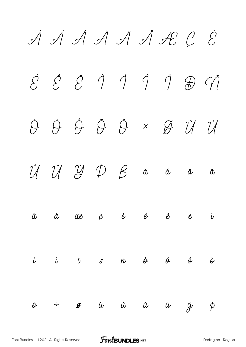À Á Â Ã Ä Å Æ Ç È  $\acute{e}$   $\acute{e}$   $\acute{e}$   $\acute{q}$   $\acute{q}$   $\acute{q}$   $\acute{q}$   $\acute{q}$   $\acute{q}$   $\acute{q}$ Ò Ó Ô Õ Ö × Ø Ù Ú  $\hat{U}$   $\hat{U}$   $\hat{V}$   $\hat{V}$   $\hat{P}$   $\hat{B}$   $\hat{a}$   $\hat{a}$   $\hat{a}$   $\hat{a}$ ä å æ ç è é ê ë ì í î ï ð ñ ò ó ô õ ö ÷ ø ù ú û ü ý þ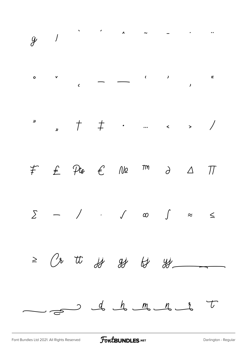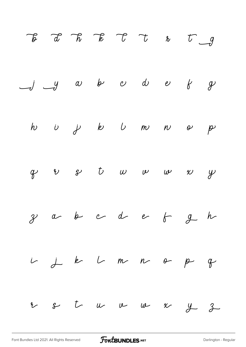